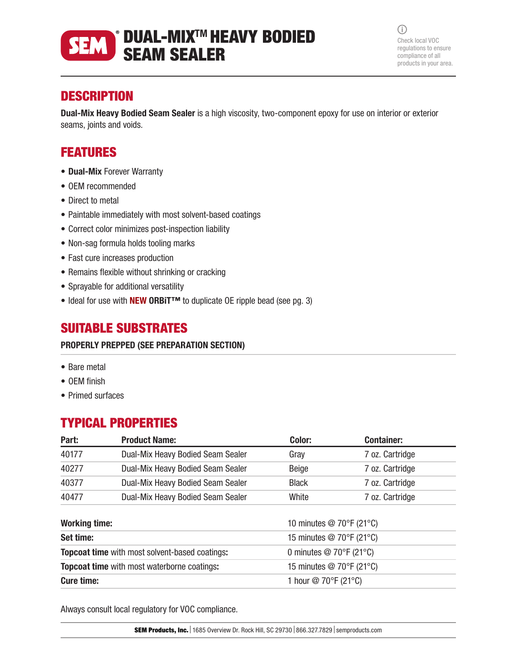### DUAL-MIXTM HEAVY BODIED **SEM** SEAM SEALER

 $\bigcirc$ Check local VOC regulations to ensure compliance of all products in your area.

# **DESCRIPTION**

Dual-Mix Heavy Bodied Seam Sealer is a high viscosity, two-component epoxy for use on interior or exterior seams, joints and voids.

# FEATURES

- Dual-Mix Forever Warranty
- OEM recommended
- Direct to metal
- Paintable immediately with most solvent-based coatings
- Correct color minimizes post-inspection liability
- Non-sag formula holds tooling marks
- Fast cure increases production
- Remains flexible without shrinking or cracking
- Sprayable for additional versatility
- Ideal for use with **NEW ORBiT<sup>™</sup>** to duplicate OE ripple bead (see pg. 3)

## SUITABLE SUBSTRATES

### PROPERLY PREPPED (SEE PREPARATION SECTION)

- Bare metal
- OEM finish
- Primed surfaces

# TYPICAL PROPERTIES

Always consult local regulatory for VOC compliance.

**SEM Products, Inc.** 1685 Overview Dr. Rock Hill, SC 29730 866.327.7829 semproducts.com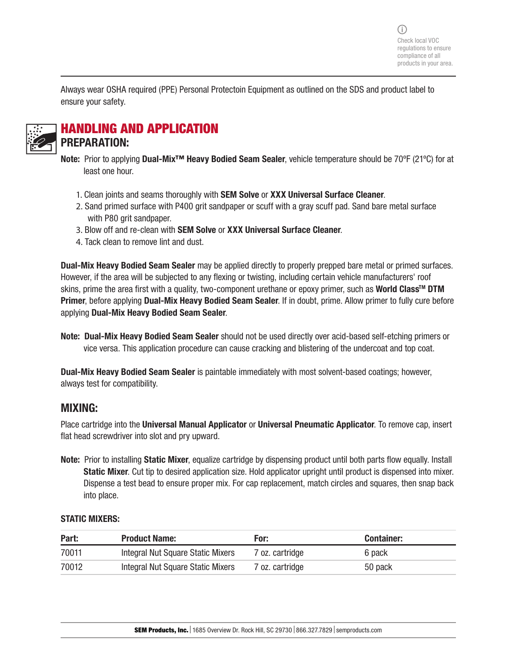Always wear OSHA required (PPE) Personal Protectoin Equipment as outlined on the SDS and product label to ensure your safety.



## HANDLING AND APPLICATION PREPARATION:

- Note: Prior to applying Dual-Mix<sup>™</sup> Heavy Bodied Seam Sealer, vehicle temperature should be 70°F (21°C) for at least one hour.
	- 1. Clean joints and seams thoroughly with **SEM Solve or XXX Universal Surface Cleaner**.
	- 2. Sand primed surface with P400 grit sandpaper or scuff with a gray scuff pad. Sand bare metal surface with P80 grit sandpaper.
	- 3. Blow off and re-clean with SEM Solve or XXX Universal Surface Cleaner.
	- 4. Tack clean to remove lint and dust.

Dual-Mix Heavy Bodied Seam Sealer may be applied directly to properly prepped bare metal or primed surfaces. However, if the area will be subjected to any flexing or twisting, including certain vehicle manufacturers' roof skins, prime the area first with a quality, two-component urethane or epoxy primer, such as World Class<sup>™</sup> DTM Primer, before applying Dual-Mix Heavy Bodied Seam Sealer. If in doubt, prime. Allow primer to fully cure before applying Dual-Mix Heavy Bodied Seam Sealer.

Note: Dual-Mix Heavy Bodied Seam Sealer should not be used directly over acid-based self-etching primers or vice versa. This application procedure can cause cracking and blistering of the undercoat and top coat.

Dual-Mix Heavy Bodied Seam Sealer is paintable immediately with most solvent-based coatings; however, always test for compatibility.

### MIXING:

Place cartridge into the Universal Manual Applicator or Universal Pneumatic Applicator. To remove cap, insert flat head screwdriver into slot and pry upward.

Note: Prior to installing Static Mixer, equalize cartridge by dispensing product until both parts flow equally. Install Static Mixer. Cut tip to desired application size. Hold applicator upright until product is dispensed into mixer. Dispense a test bead to ensure proper mix. For cap replacement, match circles and squares, then snap back into place.

### STATIC MIXERS:

| Part: | <b>Product Name:</b>              | For:            | <b>Container:</b> |
|-------|-----------------------------------|-----------------|-------------------|
| 70011 | Integral Nut Square Static Mixers | 7 oz. cartridge | 6 pack            |
| 70012 | Integral Nut Square Static Mixers | 7 oz. cartridge | 50 pack           |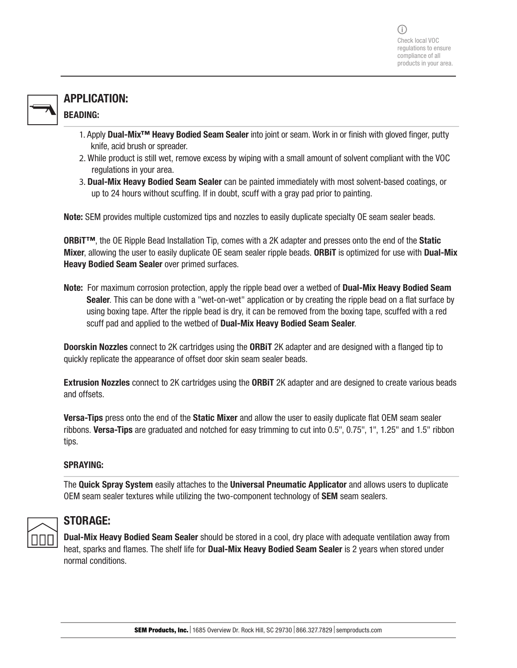## APPLICATION: BEADING:

- 1. Apply Dual-Mix<sup>™</sup> Heavy Bodied Seam Sealer into joint or seam. Work in or finish with gloved finger, putty knife, acid brush or spreader.
- 2. While product is still wet, remove excess by wiping with a small amount of solvent compliant with the VOC regulations in your area.
- 3. Dual-Mix Heavy Bodied Seam Sealer can be painted immediately with most solvent-based coatings, or up to 24 hours without scuffing. If in doubt, scuff with a gray pad prior to painting.

Note: SEM provides multiple customized tips and nozzles to easily duplicate specialty OE seam sealer beads.

ORBiT™, the OE Ripple Bead Installation Tip, comes with a 2K adapter and presses onto the end of the Static Mixer, allowing the user to easily duplicate OE seam sealer ripple beads. ORBiT is optimized for use with Dual-Mix Heavy Bodied Seam Sealer over primed surfaces.

Note: For maximum corrosion protection, apply the ripple bead over a wetbed of Dual-Mix Heavy Bodied Seam Sealer. This can be done with a "wet-on-wet" application or by creating the ripple bead on a flat surface by using boxing tape. After the ripple bead is dry, it can be removed from the boxing tape, scuffed with a red scuff pad and applied to the wetbed of **Dual-Mix Heavy Bodied Seam Sealer**.

Doorskin Nozzles connect to 2K cartridges using the ORBiT 2K adapter and are designed with a flanged tip to quickly replicate the appearance of offset door skin seam sealer beads.

Extrusion Nozzles connect to 2K cartridges using the ORBiT 2K adapter and are designed to create various beads and offsets.

**Versa-Tips** press onto the end of the **Static Mixer** and allow the user to easily duplicate flat OEM seam sealer ribbons. Versa-Tips are graduated and notched for easy trimming to cut into 0.5", 0.75", 1", 1.25" and 1.5" ribbon tips.

### SPRAYING:

The Quick Spray System easily attaches to the Universal Pneumatic Applicator and allows users to duplicate OEM seam sealer textures while utilizing the two-component technology of SEM seam sealers.



### STORAGE:

Dual-Mix Heavy Bodied Seam Sealer should be stored in a cool, dry place with adequate ventilation away from heat, sparks and flames. The shelf life for Dual-Mix Heavy Bodied Seam Sealer is 2 years when stored under normal conditions.